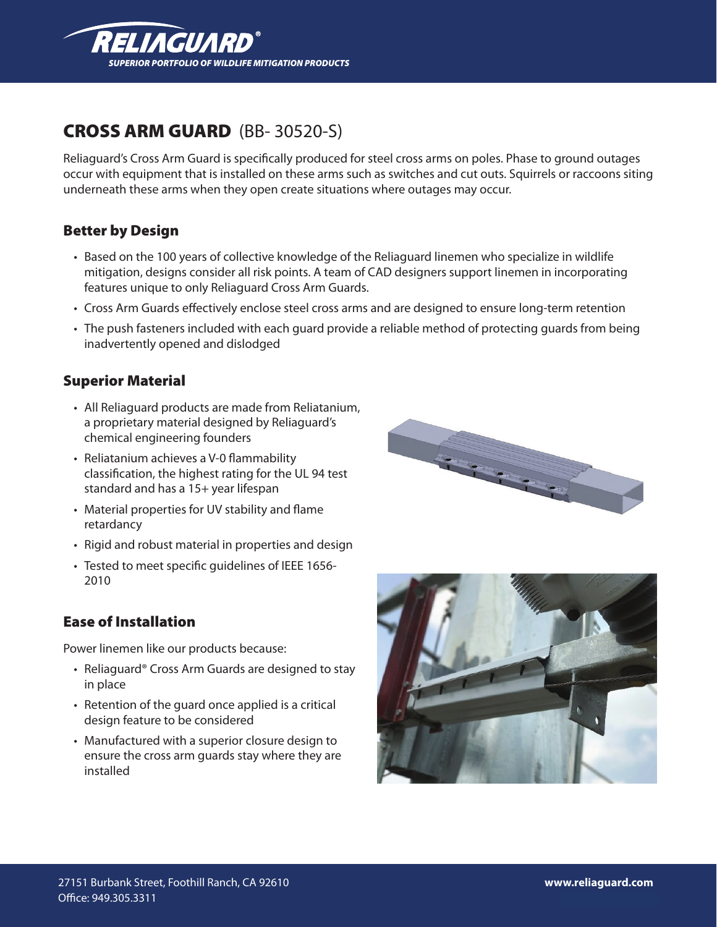

# CROSS ARM GUARD (BB- 30520-S)

Reliaguard's Cross Arm Guard is specifically produced for steel cross arms on poles. Phase to ground outages occur with equipment that is installed on these arms such as switches and cut outs. Squirrels or raccoons siting underneath these arms when they open create situations where outages may occur.

### Better by Design

- Based on the 100 years of collective knowledge of the Reliaguard linemen who specialize in wildlife mitigation, designs consider all risk points. A team of CAD designers support linemen in incorporating features unique to only Reliaguard Cross Arm Guards.
- Cross Arm Guards effectively enclose steel cross arms and are designed to ensure long-term retention
- The push fasteners included with each guard provide a reliable method of protecting guards from being inadvertently opened and dislodged

#### Superior Material

- All Reliaguard products are made from Reliatanium, a proprietary material designed by Reliaguard's chemical engineering founders
- • Reliatanium achieves a V-0 flammability classification, the highest rating for the UL 94 test standard and has a 15+ year lifespan
- Material properties for UV stability and flame retardancy
- Rigid and robust material in properties and design
- Tested to meet specific guidelines of IEEE 1656-2010

#### Ease of Installation

Power linemen like our products because:

- Reliaguard® Cross Arm Guards are designed to stay in place
- Retention of the guard once applied is a critical design feature to be considered
- Manufactured with a superior closure design to ensure the cross arm guards stay where they are installed